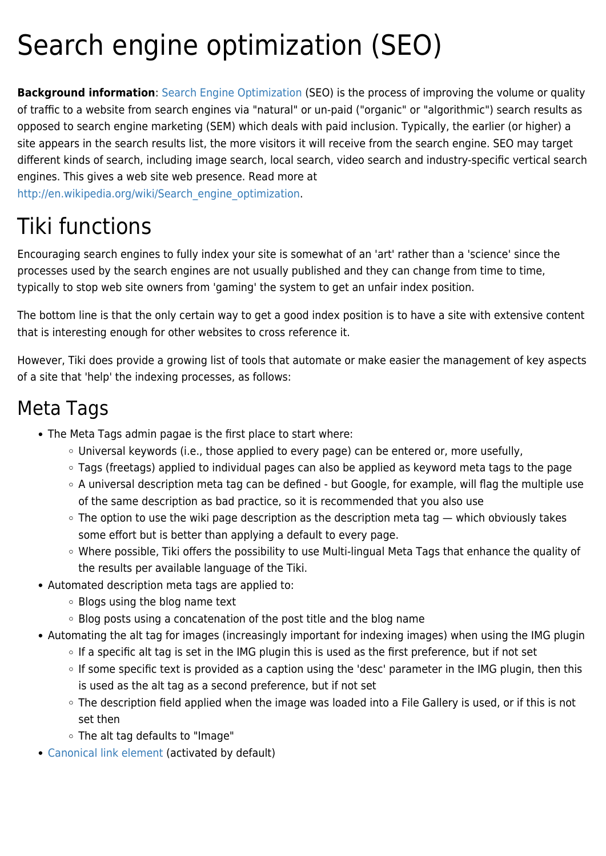## Search engine optimization (SEO)

**Background information**: [Search Engine Optimization](http://en.wikipedia.org/wiki/Search_engine_optimization) (SEO) is the process of improving the volume or quality of traffic to a website from search engines via "natural" or un-paid ("organic" or "algorithmic") search results as opposed to search engine marketing (SEM) which deals with paid inclusion. Typically, the earlier (or higher) a site appears in the search results list, the more visitors it will receive from the search engine. SEO may target different kinds of search, including image search, local search, video search and industry-specific vertical search engines. This gives a web site web presence. Read more at

[http://en.wikipedia.org/wiki/Search\\_engine\\_optimization.](http://en.wikipedia.org/wiki/Search_engine_optimization)

### Tiki functions

Encouraging search engines to fully index your site is somewhat of an 'art' rather than a 'science' since the processes used by the search engines are not usually published and they can change from time to time, typically to stop web site owners from 'gaming' the system to get an unfair index position.

The bottom line is that the only certain way to get a good index position is to have a site with extensive content that is interesting enough for other websites to cross reference it.

However, Tiki does provide a growing list of tools that automate or make easier the management of key aspects of a site that 'help' the indexing processes, as follows:

#### Meta Tags

- The Meta Tags admin pagae is the first place to start where:
	- Universal keywords (i.e., those applied to every page) can be entered or, more usefully,
	- Tags (freetags) applied to individual pages can also be applied as keyword meta tags to the page
	- A universal description meta tag can be defined but Google, for example, will flag the multiple use of the same description as bad practice, so it is recommended that you also use
	- The option to use the wiki page description as the description meta tag which obviously takes some effort but is better than applying a default to every page.
	- Where possible, Tiki offers the possibility to use Multi-lingual Meta Tags that enhance the quality of the results per available language of the Tiki.
- Automated description meta tags are applied to:
	- Blogs using the blog name text
	- $\circ$  Blog posts using a concatenation of the post title and the blog name
- Automating the alt tag for images (increasingly important for indexing images) when using the IMG plugin
	- o If a specific alt tag is set in the IMG plugin this is used as the first preference, but if not set
	- o If some specific text is provided as a caption using the 'desc' parameter in the IMG plugin, then this is used as the alt tag as a second preference, but if not set
	- The description field applied when the image was loaded into a File Gallery is used, or if this is not set then
	- The alt tag defaults to "Image"
- [Canonical link element](https://doc.tiki.org/Canonical-link-element) (activated by default)